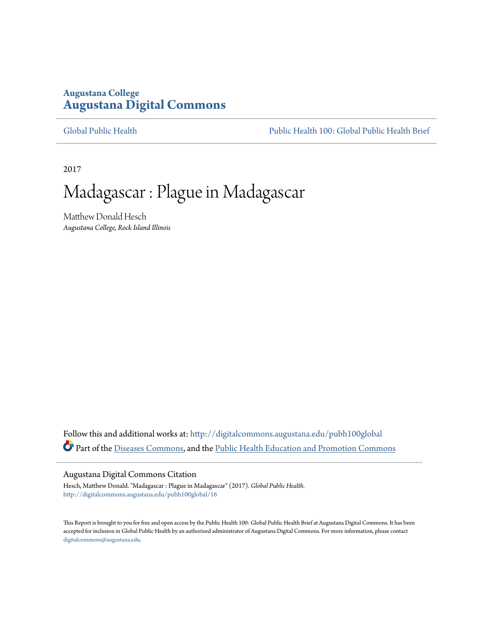# **Augustana College [Augustana Digital Commons](http://digitalcommons.augustana.edu?utm_source=digitalcommons.augustana.edu%2Fpubh100global%2F16&utm_medium=PDF&utm_campaign=PDFCoverPages)**

[Global Public Health](http://digitalcommons.augustana.edu/pubh100global?utm_source=digitalcommons.augustana.edu%2Fpubh100global%2F16&utm_medium=PDF&utm_campaign=PDFCoverPages) [Public Health 100: Global Public Health Brief](http://digitalcommons.augustana.edu/pubh100?utm_source=digitalcommons.augustana.edu%2Fpubh100global%2F16&utm_medium=PDF&utm_campaign=PDFCoverPages)

2017

# Madagascar : Plague in Madagascar

Matthew Donald Hesch *Augustana College, Rock Island Illinois*

Follow this and additional works at: [http://digitalcommons.augustana.edu/pubh100global](http://digitalcommons.augustana.edu/pubh100global?utm_source=digitalcommons.augustana.edu%2Fpubh100global%2F16&utm_medium=PDF&utm_campaign=PDFCoverPages) Part of the [Diseases Commons](http://network.bepress.com/hgg/discipline/813?utm_source=digitalcommons.augustana.edu%2Fpubh100global%2F16&utm_medium=PDF&utm_campaign=PDFCoverPages), and the [Public Health Education and Promotion Commons](http://network.bepress.com/hgg/discipline/743?utm_source=digitalcommons.augustana.edu%2Fpubh100global%2F16&utm_medium=PDF&utm_campaign=PDFCoverPages)

#### Augustana Digital Commons Citation

Hesch, Matthew Donald. "Madagascar : Plague in Madagascar" (2017). *Global Public Health.* [http://digitalcommons.augustana.edu/pubh100global/16](http://digitalcommons.augustana.edu/pubh100global/16?utm_source=digitalcommons.augustana.edu%2Fpubh100global%2F16&utm_medium=PDF&utm_campaign=PDFCoverPages)

This Report is brought to you for free and open access by the Public Health 100: Global Public Health Brief at Augustana Digital Commons. It has been accepted for inclusion in Global Public Health by an authorized administrator of Augustana Digital Commons. For more information, please contact [digitalcommons@augustana.edu.](mailto:digitalcommons@augustana.edu)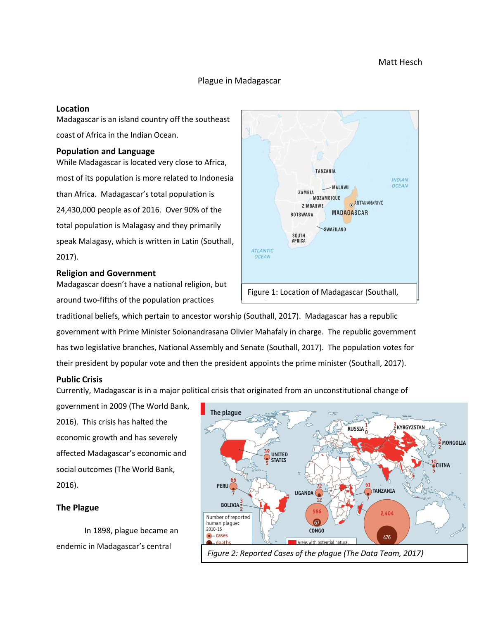# Matt Hesch

### Plague in Madagascar

#### **Location**

Madagascar is an island country off the southeast coast of Africa in the Indian Ocean.

#### **Population and Language**

While Madagascar is located very close to Africa, most of its population is more related to Indonesia than Africa. Madagascar's total population is 24,430,000 people as of 2016. Over 90% of the total population is Malagasy and they primarily speak Malagasy, which is written in Latin (Southall, 2017).

#### **Religion and Government**

Madagascar doesn't have a national religion, but around two-fifths of the population practices



traditional beliefs, which pertain to ancestor worship (Southall, 2017). Madagascar has a republic government with Prime Minister Solonandrasana Olivier Mahafaly in charge. The republic government has two legislative branches, National Assembly and Senate (Southall, 2017). The population votes for their president by popular vote and then the president appoints the prime minister (Southall, 2017).

# **Public Crisis**

Currently, Madagascar is in a major political crisis that originated from an unconstitutional change of

government in 2009 (The World Bank, 2016). This crisis has halted the economic growth and has severely affected Madagascar's economic and social outcomes (The World Bank, 2016).

#### **The Plague**

In 1898, plague became an endemic in Madagascar's central